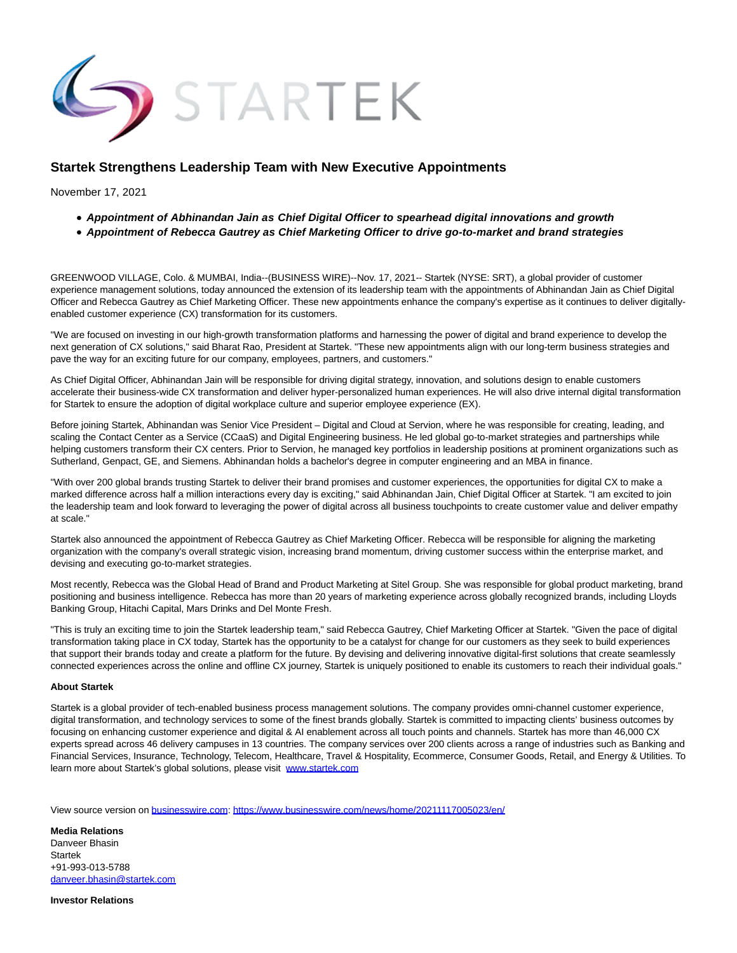

## **Startek Strengthens Leadership Team with New Executive Appointments**

November 17, 2021

- **Appointment of Abhinandan Jain as Chief Digital Officer to spearhead digital innovations and growth**
- **Appointment of Rebecca Gautrey as Chief Marketing Officer to drive go-to-market and brand strategies**

GREENWOOD VILLAGE, Colo. & MUMBAI, India--(BUSINESS WIRE)--Nov. 17, 2021-- Startek (NYSE: SRT), a global provider of customer experience management solutions, today announced the extension of its leadership team with the appointments of Abhinandan Jain as Chief Digital Officer and Rebecca Gautrey as Chief Marketing Officer. These new appointments enhance the company's expertise as it continues to deliver digitallyenabled customer experience (CX) transformation for its customers.

"We are focused on investing in our high-growth transformation platforms and harnessing the power of digital and brand experience to develop the next generation of CX solutions," said Bharat Rao, President at Startek. "These new appointments align with our long-term business strategies and pave the way for an exciting future for our company, employees, partners, and customers."

As Chief Digital Officer, Abhinandan Jain will be responsible for driving digital strategy, innovation, and solutions design to enable customers accelerate their business-wide CX transformation and deliver hyper-personalized human experiences. He will also drive internal digital transformation for Startek to ensure the adoption of digital workplace culture and superior employee experience (EX).

Before joining Startek, Abhinandan was Senior Vice President – Digital and Cloud at Servion, where he was responsible for creating, leading, and scaling the Contact Center as a Service (CCaaS) and Digital Engineering business. He led global go-to-market strategies and partnerships while helping customers transform their CX centers. Prior to Servion, he managed key portfolios in leadership positions at prominent organizations such as Sutherland, Genpact, GE, and Siemens. Abhinandan holds a bachelor's degree in computer engineering and an MBA in finance.

"With over 200 global brands trusting Startek to deliver their brand promises and customer experiences, the opportunities for digital CX to make a marked difference across half a million interactions every day is exciting," said Abhinandan Jain, Chief Digital Officer at Startek. "I am excited to join the leadership team and look forward to leveraging the power of digital across all business touchpoints to create customer value and deliver empathy at scale."

Startek also announced the appointment of Rebecca Gautrey as Chief Marketing Officer. Rebecca will be responsible for aligning the marketing organization with the company's overall strategic vision, increasing brand momentum, driving customer success within the enterprise market, and devising and executing go-to-market strategies.

Most recently, Rebecca was the Global Head of Brand and Product Marketing at Sitel Group. She was responsible for global product marketing, brand positioning and business intelligence. Rebecca has more than 20 years of marketing experience across globally recognized brands, including Lloyds Banking Group, Hitachi Capital, Mars Drinks and Del Monte Fresh.

"This is truly an exciting time to join the Startek leadership team," said Rebecca Gautrey, Chief Marketing Officer at Startek. "Given the pace of digital transformation taking place in CX today, Startek has the opportunity to be a catalyst for change for our customers as they seek to build experiences that support their brands today and create a platform for the future. By devising and delivering innovative digital-first solutions that create seamlessly connected experiences across the online and offline CX journey, Startek is uniquely positioned to enable its customers to reach their individual goals."

## **About Startek**

Startek is a global provider of tech-enabled business process management solutions. The company provides omni-channel customer experience, digital transformation, and technology services to some of the finest brands globally. Startek is committed to impacting clients' business outcomes by focusing on enhancing customer experience and digital & AI enablement across all touch points and channels. Startek has more than 46,000 CX experts spread across 46 delivery campuses in 13 countries. The company services over 200 clients across a range of industries such as Banking and Financial Services, Insurance, Technology, Telecom, Healthcare, Travel & Hospitality, Ecommerce, Consumer Goods, Retail, and Energy & Utilities. To learn more about Startek's global solutions, please visit [www.startek.com](https://cts.businesswire.com/ct/CT?id=smartlink&url=http%3A%2F%2Fwww.startek.com&esheet=52531229&newsitemid=20211117005023&lan=en-US&anchor=www.startek.com&index=1&md5=d9d4ec59b507791e809b7d886d941f60)

View source version on [businesswire.com:](http://businesswire.com/)<https://www.businesswire.com/news/home/20211117005023/en/>

**Media Relations** Danveer Bhasin Startek +91-993-013-5788 [danveer.bhasin@startek.com](mailto:danveer.bhasin@startek.com)

**Investor Relations**